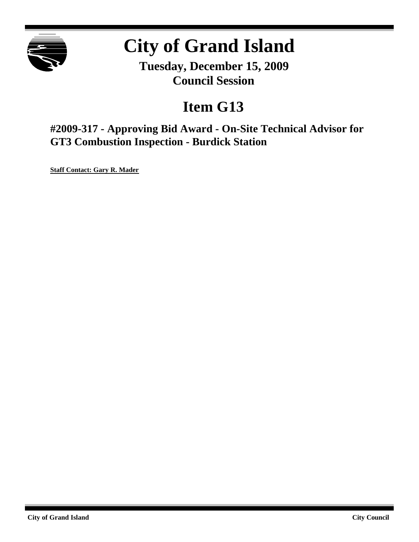

# **City of Grand Island**

**Tuesday, December 15, 2009 Council Session**

## **Item G13**

**#2009-317 - Approving Bid Award - On-Site Technical Advisor for GT3 Combustion Inspection - Burdick Station**

**Staff Contact: Gary R. Mader**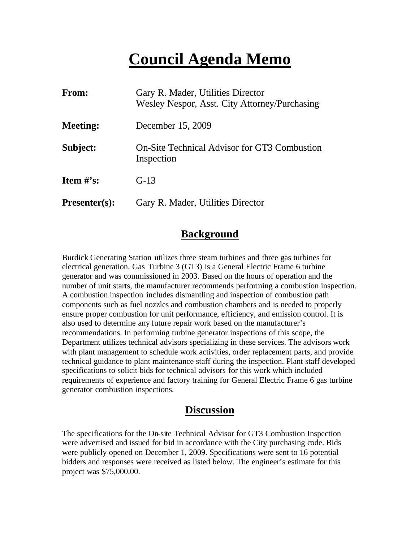## **Council Agenda Memo**

| From:                          | Gary R. Mader, Utilities Director<br>Wesley Nespor, Asst. City Attorney/Purchasing |
|--------------------------------|------------------------------------------------------------------------------------|
| <b>Meeting:</b>                | December 15, 2009                                                                  |
| Subject:                       | <b>On-Site Technical Advisor for GT3 Combustion</b><br>Inspection                  |
| <b>Item <math>\#</math>'s:</b> | $G-13$                                                                             |
| <b>Presenter(s):</b>           | Gary R. Mader, Utilities Director                                                  |

## **Background**

Burdick Generating Station utilizes three steam turbines and three gas turbines for electrical generation. Gas Turbine 3 (GT3) is a General Electric Frame 6 turbine generator and was commissioned in 2003. Based on the hours of operation and the number of unit starts, the manufacturer recommends performing a combustion inspection. A combustion inspection includes dismantling and inspection of combustion path components such as fuel nozzles and combustion chambers and is needed to properly ensure proper combustion for unit performance, efficiency, and emission control. It is also used to determine any future repair work based on the manufacturer's recommendations. In performing turbine generator inspections of this scope, the Department utilizes technical advisors specializing in these services. The advisors work with plant management to schedule work activities, order replacement parts, and provide technical guidance to plant maintenance staff during the inspection. Plant staff developed specifications to solicit bids for technical advisors for this work which included requirements of experience and factory training for General Electric Frame 6 gas turbine generator combustion inspections.

## **Discussion**

The specifications for the On-site Technical Advisor for GT3 Combustion Inspection were advertised and issued for bid in accordance with the City purchasing code. Bids were publicly opened on December 1, 2009. Specifications were sent to 16 potential bidders and responses were received as listed below. The engineer's estimate for this project was \$75,000.00.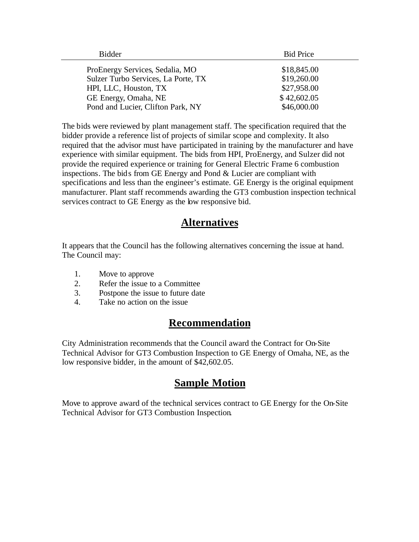| Bidder                              | <b>Bid Price</b> |
|-------------------------------------|------------------|
| ProEnergy Services, Sedalia, MO     | \$18,845.00      |
| Sulzer Turbo Services, La Porte, TX | \$19,260.00      |
| HPI, LLC, Houston, TX               | \$27,958.00      |
| GE Energy, Omaha, NE                | \$42,602.05      |
| Pond and Lucier, Clifton Park, NY   | \$46,000.00      |

The bids were reviewed by plant management staff. The specification required that the bidder provide a reference list of projects of similar scope and complexity. It also required that the advisor must have participated in training by the manufacturer and have experience with similar equipment. The bids from HPI, ProEnergy, and Sulzer did not provide the required experience or training for General Electric Frame 6 combustion inspections. The bids from GE Energy and Pond & Lucier are compliant with specifications and less than the engineer's estimate. GE Energy is the original equipment manufacturer. Plant staff recommends awarding the GT3 combustion inspection technical services contract to GE Energy as the low responsive bid.

## **Alternatives**

It appears that the Council has the following alternatives concerning the issue at hand. The Council may:

- 1. Move to approve
- 2. Refer the issue to a Committee
- 3. Postpone the issue to future date
- 4. Take no action on the issue

## **Recommendation**

City Administration recommends that the Council award the Contract for On-Site Technical Advisor for GT3 Combustion Inspection to GE Energy of Omaha, NE, as the low responsive bidder, in the amount of \$42,602.05.

## **Sample Motion**

Move to approve award of the technical services contract to GE Energy for the On-Site Technical Advisor for GT3 Combustion Inspection.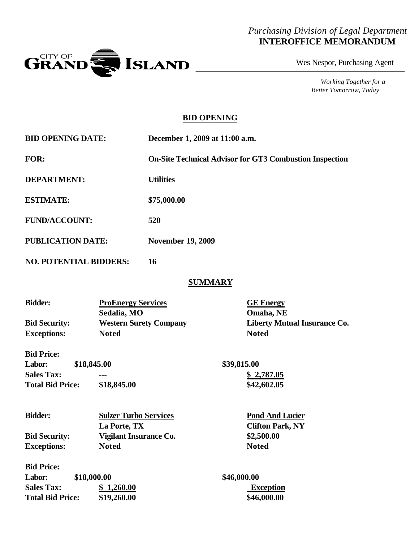### *Purchasing Division of Legal Department* **INTEROFFICE MEMORANDUM**



Wes Nespor, Purchasing Agent

*Working Together for a Better Tomorrow, Today*

### **BID OPENING**

| <b>BID OPENING DATE:</b>      | December 1, 2009 at 11:00 a.m.                                 |
|-------------------------------|----------------------------------------------------------------|
| <b>FOR:</b>                   | <b>On-Site Technical Advisor for GT3 Combustion Inspection</b> |
| <b>DEPARTMENT:</b>            | <b>Utilities</b>                                               |
| <b>ESTIMATE:</b>              | \$75,000.00                                                    |
| <b>FUND/ACCOUNT:</b>          | 520                                                            |
| <b>PUBLICATION DATE:</b>      | <b>November 19, 2009</b>                                       |
| <b>NO. POTENTIAL BIDDERS:</b> | 16                                                             |

#### **SUMMARY**

| <b>Bidder:</b>       | <b>ProEnergy Services</b>     | <b>GE</b> Energy                    |
|----------------------|-------------------------------|-------------------------------------|
|                      | Sedalia, MO                   | Omaha, NE                           |
| <b>Bid Security:</b> | <b>Western Surety Company</b> | <b>Liberty Mutual Insurance Co.</b> |
| <b>Exceptions:</b>   | <b>Noted</b>                  | <b>Noted</b>                        |
| <b>Bid Price:</b>    |                               |                                     |

| <b>Labor:</b>           | \$18,845.00 | \$39,815.00 |
|-------------------------|-------------|-------------|
| <b>Sales Tax:</b>       | ---         | \$2,787.05  |
| <b>Total Bid Price:</b> | \$18,845.00 | \$42,602.05 |

| <b>Bidder:</b>       | <b>Sulzer Turbo Services</b> | <b>Pond And Lucier</b>  |
|----------------------|------------------------------|-------------------------|
|                      | La Porte, TX                 | <b>Clifton Park, NY</b> |
| <b>Bid Security:</b> | Vigilant Insurance Co.       | \$2,500.00              |
| <b>Exceptions:</b>   | <b>Noted</b>                 | <b>Noted</b>            |
| <b>Bid Price:</b>    |                              |                         |
| Labor:               | \$18,000.00                  | \$46,000.00             |
| <b>Sales Tax:</b>    | 1,260.00                     | <b>Exception</b>        |

**Total Bid Price: \$19,260.00 \$46,000.00**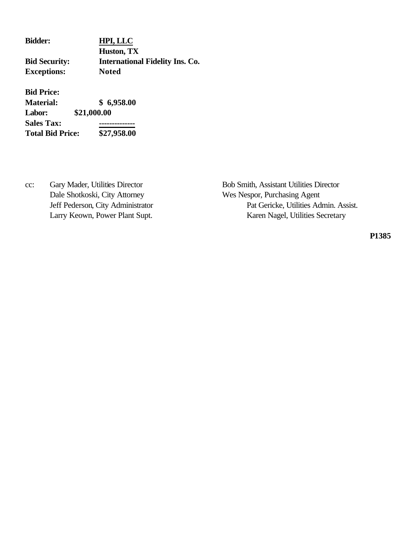| <b>Bidder:</b>       | HPI, LLC                               |
|----------------------|----------------------------------------|
|                      | Huston, TX                             |
| <b>Bid Security:</b> | <b>International Fidelity Ins. Co.</b> |
| <b>Exceptions:</b>   | <b>Noted</b>                           |

**Bid Price:**

**Material: \$ 6,958.00 Labor: \$21,000.00 Sales Tax: -------------- Total Bid Price: \$27,958.00**

Dale Shotkoski, City Attorney Wes Nespor, Purchasing Agent

cc: Gary Mader, Utilities Director Bob Smith, Assistant Utilities Director Jeff Pederson, City Administrator Pat Gericke, Utilities Admin. Assist. Larry Keown, Power Plant Supt. Karen Nagel, Utilities Secretary

**P1385**